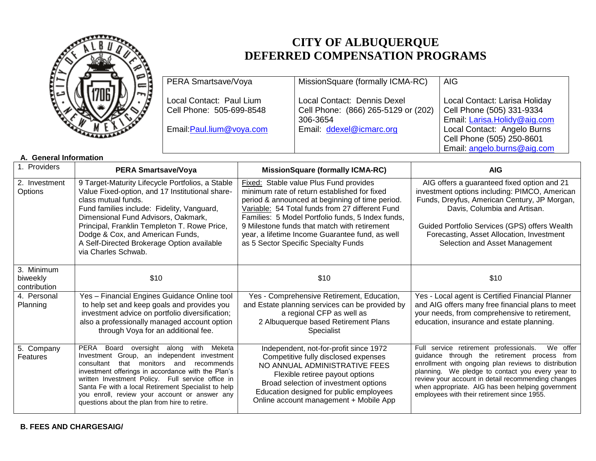

## **CITY OF ALBUQUERQUE DEFERRED COMPENSATION PROGRAMS**

| PERA Smartsave/Voya       | MissionSquare (formally ICMA-RC)    | <b>AIG</b>                    |
|---------------------------|-------------------------------------|-------------------------------|
| Local Contact: Paul Lium  | Local Contact: Dennis Dexel         | Local Contact: Larisa Holiday |
| Cell Phone: 505-699-8548  | Cell Phone: (866) 265-5129 or (202) | Cell Phone (505) 331-9334     |
|                           | 306-3654                            | Email: Larisa.Holidy@aig.com  |
| Email: Paul.lium@voya.com | Email: ddexel@icmarc.org            | Local Contact: Angelo Burns   |
|                           |                                     | Cell Phone (505) 250-8601     |
|                           |                                     | Email: angelo.burns@aig.com   |

## **A. General Information**

| 1. Providers                           | <b>PERA Smartsave/Voya</b>                                                                                                                                                                                                                                                                                                                                                                                       | <b>MissionSquare (formally ICMA-RC)</b>                                                                                                                                                                                                                                                                                                                                                             | <b>AIG</b>                                                                                                                                                                                                                                                                                                                                                               |
|----------------------------------------|------------------------------------------------------------------------------------------------------------------------------------------------------------------------------------------------------------------------------------------------------------------------------------------------------------------------------------------------------------------------------------------------------------------|-----------------------------------------------------------------------------------------------------------------------------------------------------------------------------------------------------------------------------------------------------------------------------------------------------------------------------------------------------------------------------------------------------|--------------------------------------------------------------------------------------------------------------------------------------------------------------------------------------------------------------------------------------------------------------------------------------------------------------------------------------------------------------------------|
| 2. Investment<br>Options               | 9 Target-Maturity Lifecycle Portfolios, a Stable<br>Value Fixed-option, and 17 Institutional share-<br>class mutual funds.<br>Fund families include: Fidelity, Vanguard,<br>Dimensional Fund Advisors, Oakmark,<br>Principal, Franklin Templeton T. Rowe Price,<br>Dodge & Cox, and American Funds,<br>A Self-Directed Brokerage Option available<br>via Charles Schwab.                                         | <b>Fixed:</b> Stable value Plus Fund provides<br>minimum rate of return established for fixed<br>period & announced at beginning of time period.<br>Variable: 54 Total funds from 27 different Fund<br>Families: 5 Model Portfolio funds, 5 Index funds,<br>9 Milestone funds that match with retirement<br>year, a lifetime Income Guarantee fund, as well<br>as 5 Sector Specific Specialty Funds | AIG offers a guaranteed fixed option and 21<br>investment options including: PIMCO, American<br>Funds, Dreyfus, American Century, JP Morgan,<br>Davis, Columbia and Artisan.<br>Guided Portfolio Services (GPS) offers Wealth<br>Forecasting, Asset Allocation, Investment<br>Selection and Asset Management                                                             |
| 3. Minimum<br>biweekly<br>contribution | \$10                                                                                                                                                                                                                                                                                                                                                                                                             | \$10                                                                                                                                                                                                                                                                                                                                                                                                | \$10                                                                                                                                                                                                                                                                                                                                                                     |
| 4. Personal<br>Planning                | Yes - Financial Engines Guidance Online tool<br>to help set and keep goals and provides you<br>investment advice on portfolio diversification;<br>also a professionally managed account option<br>through Voya for an additional fee.                                                                                                                                                                            | Yes - Comprehensive Retirement, Education,<br>and Estate planning services can be provided by<br>a regional CFP as well as<br>2 Albuquerque based Retirement Plans<br>Specialist                                                                                                                                                                                                                    | Yes - Local agent is Certified Financial Planner<br>and AIG offers many free financial plans to meet<br>your needs, from comprehensive to retirement,<br>education, insurance and estate planning.                                                                                                                                                                       |
| 5. Company<br>Features                 | PERA Board oversight along with<br>Meketa<br>Investment Group, an independent investment<br>that<br>monitors and<br>consultant<br>recommends<br>investment offerings in accordance with the Plan's<br>written Investment Policy. Full service office in<br>Santa Fe with a local Retirement Specialist to help<br>you enroll, review your account or answer any<br>questions about the plan from hire to retire. | Independent, not-for-profit since 1972<br>Competitive fully disclosed expenses<br>NO ANNUAL ADMINISTRATIVE FEES<br>Flexible retiree payout options<br>Broad selection of investment options<br>Education designed for public employees<br>Online account management + Mobile App                                                                                                                    | Full service retirement professionals.<br>We offer<br>guidance through the retirement process from<br>enrollment with ongoing plan reviews to distribution<br>planning. We pledge to contact you every year to<br>review your account in detail recommending changes<br>when appropriate. AIG has been helping government<br>employees with their retirement since 1955. |